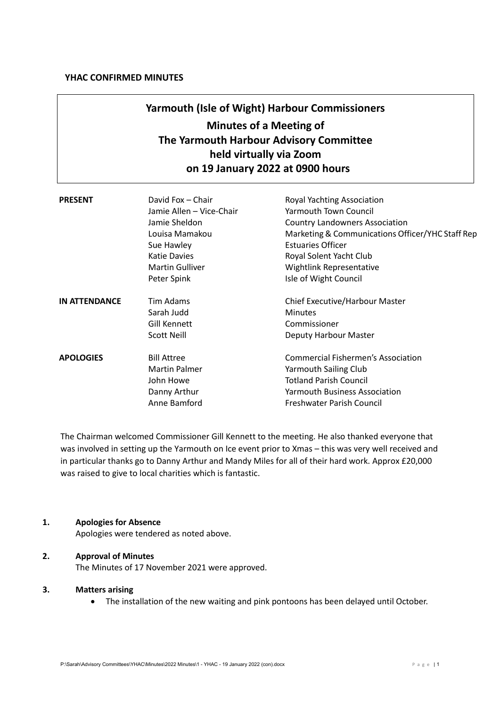# **Yarmouth (Isle of Wight) Harbour Commissioners Minutes of a Meeting of The Yarmouth Harbour Advisory Committee held virtually via Zoom on 19 January 2022 at 0900 hours**

| <b>PRESENT</b>       | David Fox - Chair<br>Jamie Allen - Vice-Chair<br>Jamie Sheldon<br>Louisa Mamakou<br>Sue Hawley<br><b>Katie Davies</b><br><b>Martin Gulliver</b><br>Peter Spink | Royal Yachting Association<br><b>Yarmouth Town Council</b><br>Country Landowners Association<br>Marketing & Communications Officer/YHC Staff Rep<br><b>Estuaries Officer</b><br>Royal Solent Yacht Club<br>Wightlink Representative<br>Isle of Wight Council |
|----------------------|----------------------------------------------------------------------------------------------------------------------------------------------------------------|--------------------------------------------------------------------------------------------------------------------------------------------------------------------------------------------------------------------------------------------------------------|
| <b>IN ATTENDANCE</b> | <b>Tim Adams</b><br>Sarah Judd<br>Gill Kennett<br><b>Scott Neill</b>                                                                                           | Chief Executive/Harbour Master<br><b>Minutes</b><br>Commissioner<br>Deputy Harbour Master                                                                                                                                                                    |
| <b>APOLOGIES</b>     | <b>Bill Attree</b><br><b>Martin Palmer</b><br>John Howe<br>Danny Arthur<br>Anne Bamford                                                                        | <b>Commercial Fishermen's Association</b><br><b>Yarmouth Sailing Club</b><br><b>Totland Parish Council</b><br><b>Yarmouth Business Association</b><br>Freshwater Parish Council                                                                              |

The Chairman welcomed Commissioner Gill Kennett to the meeting. He also thanked everyone that was involved in setting up the Yarmouth on Ice event prior to Xmas – this was very well received and in particular thanks go to Danny Arthur and Mandy Miles for all of their hard work. Approx £20,000 was raised to give to local charities which is fantastic.

# **1. Apologies for Absence**

Apologies were tendered as noted above.

# **2. Approval of Minutes**

The Minutes of 17 November 2021 were approved.

### **3. Matters arising**

• The installation of the new waiting and pink pontoons has been delayed until October.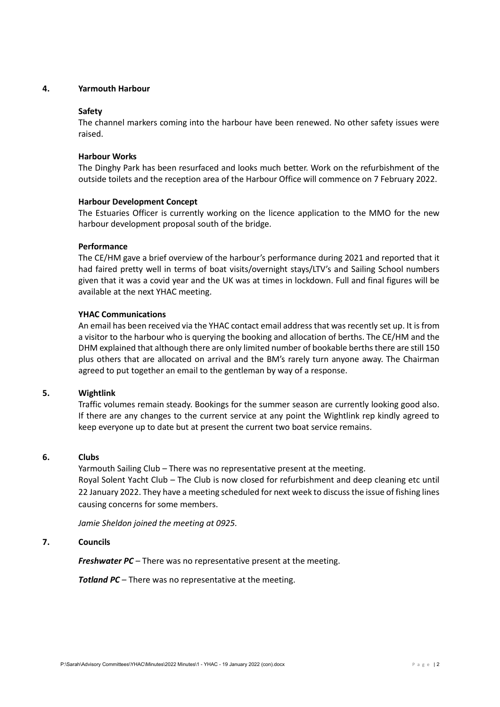## **4. Yarmouth Harbour**

#### **Safety**

The channel markers coming into the harbour have been renewed. No other safety issues were raised.

## **Harbour Works**

The Dinghy Park has been resurfaced and looks much better. Work on the refurbishment of the outside toilets and the reception area of the Harbour Office will commence on 7 February 2022.

## **Harbour Development Concept**

The Estuaries Officer is currently working on the licence application to the MMO for the new harbour development proposal south of the bridge.

## **Performance**

The CE/HM gave a brief overview of the harbour's performance during 2021 and reported that it had faired pretty well in terms of boat visits/overnight stays/LTV's and Sailing School numbers given that it was a covid year and the UK was at times in lockdown. Full and final figures will be available at the next YHAC meeting.

## **YHAC Communications**

An email has been received via the YHAC contact email address that was recently set up. It is from a visitor to the harbour who is querying the booking and allocation of berths. The CE/HM and the DHM explained that although there are only limited number of bookable berths there are still 150 plus others that are allocated on arrival and the BM's rarely turn anyone away. The Chairman agreed to put together an email to the gentleman by way of a response.

#### **5. Wightlink**

Traffic volumes remain steady. Bookings for the summer season are currently looking good also. If there are any changes to the current service at any point the Wightlink rep kindly agreed to keep everyone up to date but at present the current two boat service remains.

#### **6. Clubs**

Yarmouth Sailing Club – There was no representative present at the meeting. Royal Solent Yacht Club – The Club is now closed for refurbishment and deep cleaning etc until 22 January 2022. They have a meeting scheduled for next week to discuss the issue of fishing lines causing concerns for some members.

*Jamie Sheldon joined the meeting at 0925.*

#### **7. Councils**

*Freshwater PC* – There was no representative present at the meeting.

*Totland PC* – There was no representative at the meeting.